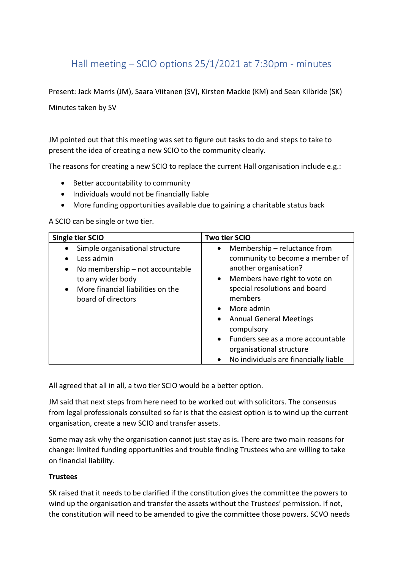## Hall meeting – SCIO options 25/1/2021 at 7:30pm - minutes

Present: Jack Marris (JM), Saara Viitanen (SV), Kirsten Mackie (KM) and Sean Kilbride (SK)

Minutes taken by SV

JM pointed out that this meeting was set to figure out tasks to do and steps to take to present the idea of creating a new SCIO to the community clearly.

The reasons for creating a new SCIO to replace the current Hall organisation include e.g.:

- Better accountability to community
- Individuals would not be financially liable
- More funding opportunities available due to gaining a charitable status back

A SCIO can be single or two tier.

| Single tier SCIO                                                                                                                                                                                             | Two tier SCIO                                                                                                                                                                                                                                                                                                                                                                                     |
|--------------------------------------------------------------------------------------------------------------------------------------------------------------------------------------------------------------|---------------------------------------------------------------------------------------------------------------------------------------------------------------------------------------------------------------------------------------------------------------------------------------------------------------------------------------------------------------------------------------------------|
| Simple organisational structure<br>$\bullet$<br>Less admin<br>$\bullet$<br>No membership - not accountable<br>٠<br>to any wider body<br>More financial liabilities on the<br>$\bullet$<br>board of directors | Membership – reluctance from<br>$\bullet$<br>community to become a member of<br>another organisation?<br>Members have right to vote on<br>$\bullet$<br>special resolutions and board<br>members<br>More admin<br><b>Annual General Meetings</b><br>$\bullet$<br>compulsory<br>Funders see as a more accountable<br>$\bullet$<br>organisational structure<br>No individuals are financially liable |

All agreed that all in all, a two tier SCIO would be a better option.

JM said that next steps from here need to be worked out with solicitors. The consensus from legal professionals consulted so far is that the easiest option is to wind up the current organisation, create a new SCIO and transfer assets.

Some may ask why the organisation cannot just stay as is. There are two main reasons for change: limited funding opportunities and trouble finding Trustees who are willing to take on financial liability.

## **Trustees**

SK raised that it needs to be clarified if the constitution gives the committee the powers to wind up the organisation and transfer the assets without the Trustees' permission. If not, the constitution will need to be amended to give the committee those powers. SCVO needs